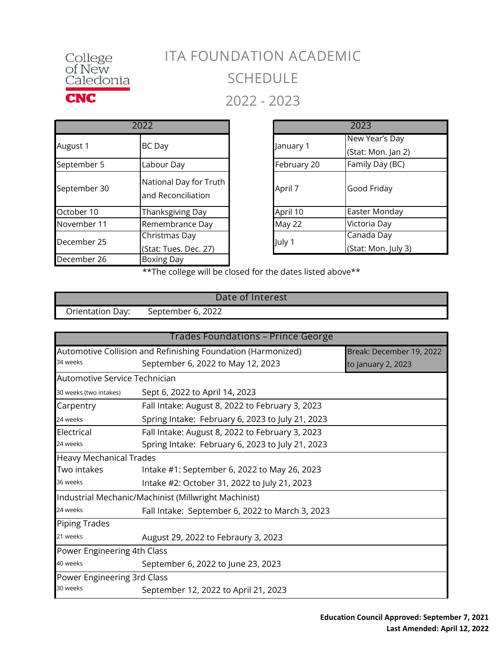

## **ITA FOUNDATION ACADEMIC SCHEDULE 2022 - 2023**

|              | 2022                                         |             |
|--------------|----------------------------------------------|-------------|
| August 1     | <b>BC</b> Day                                | January 1   |
| September 5  | Labour Day                                   | February 20 |
| September 30 | National Day for Truth<br>and Reconciliation | April 7     |
| October 10   | Thanksgiving Day                             | April 10    |
| November 11  | Remembrance Day                              | May 22      |
| December 25  | Christmas Day<br>(Stat: Tues. Dec. 27)       | July 1      |
| December 26  | Boxing Day                                   |             |

| 2022       |                                              |        | 2023           |                     |
|------------|----------------------------------------------|--------|----------------|---------------------|
| BC Day     |                                              |        | New Year's Day |                     |
|            |                                              |        | January 1      | (Stat: Mon. Jan 2)  |
| Labour Day |                                              |        | February 20    | Family Day (BC)     |
|            | National Day for Truth<br>and Reconciliation |        | April 7        | Good Friday         |
|            | Thanksgiving Day                             |        | April 10       | Easter Monday       |
|            | Remembrance Day                              |        | May 22         | Victoria Day        |
|            | Christmas Day                                | July 1 | Canada Day     |                     |
|            | (Stat: Tues. Dec. 27)                        |        |                | (Stat: Mon. July 3) |

\*\*The college will be closed for the dates listed above\*\*

|                  | Date of Interest  |  |
|------------------|-------------------|--|
| Orientation Day: | September 6, 2022 |  |

| Trades Foundations – Prince George                                                       |                                                      |                    |  |
|------------------------------------------------------------------------------------------|------------------------------------------------------|--------------------|--|
| Automotive Collision and Refinishing Foundation (Harmonized)<br>Break: December 19, 2022 |                                                      |                    |  |
| 34 weeks                                                                                 | September 6, 2022 to May 12, 2023                    | to January 2, 2023 |  |
| Automotive Service Technician                                                            |                                                      |                    |  |
| 30 weeks (two intakes)                                                                   | Sept 6, 2022 to April 14, 2023                       |                    |  |
| Carpentry                                                                                | Fall Intake: August 8, 2022 to February 3, 2023      |                    |  |
| 24 weeks                                                                                 | Spring Intake: February 6, 2023 to July 21, 2023     |                    |  |
| Electrical                                                                               | Fall Intake: August 8, 2022 to February 3, 2023      |                    |  |
| 24 weeks                                                                                 | Spring Intake: February 6, 2023 to July 21, 2023     |                    |  |
| <b>Heavy Mechanical Trades</b>                                                           |                                                      |                    |  |
| Two intakes                                                                              | Intake #1: September 6, 2022 to May 26, 2023         |                    |  |
| 36 weeks                                                                                 | Intake #2: October 31, 2022 to July 21, 2023         |                    |  |
|                                                                                          | Industrial Mechanic/Machinist (Millwright Machinist) |                    |  |
| 24 weeks                                                                                 | Fall Intake: September 6, 2022 to March 3, 2023      |                    |  |
| <b>Piping Trades</b>                                                                     |                                                      |                    |  |
| 21 weeks                                                                                 | August 29, 2022 to Febraury 3, 2023                  |                    |  |
| Power Engineering 4th Class                                                              |                                                      |                    |  |
| 40 weeks                                                                                 | September 6, 2022 to June 23, 2023                   |                    |  |
| Power Engineering 3rd Class                                                              |                                                      |                    |  |
| 30 weeks                                                                                 | September 12, 2022 to April 21, 2023                 |                    |  |